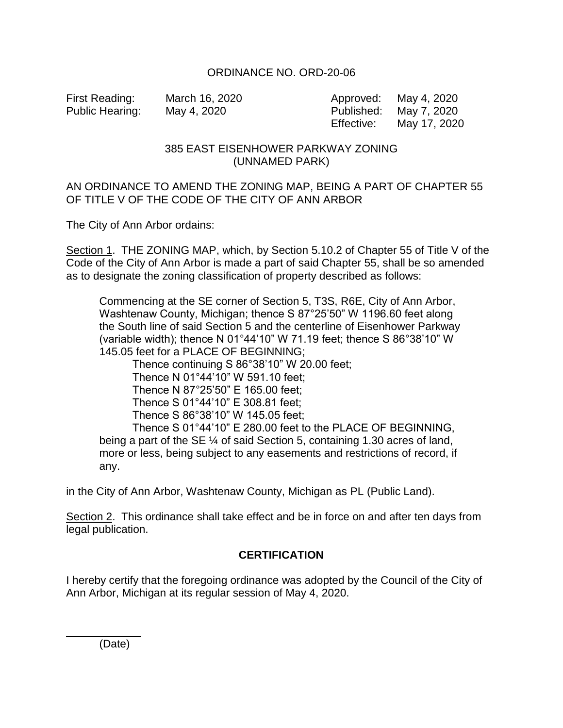## ORDINANCE NO. ORD-20-06

First Reading: March 16, 2020 Approved: May 4, 2020 Public Hearing: May 4, 2020 Published: May 7, 2020 Effective: May 17, 2020

## 385 EAST EISENHOWER PARKWAY ZONING (UNNAMED PARK)

## AN ORDINANCE TO AMEND THE ZONING MAP, BEING A PART OF CHAPTER 55 OF TITLE V OF THE CODE OF THE CITY OF ANN ARBOR

The City of Ann Arbor ordains:

Section 1. THE ZONING MAP, which, by Section 5.10.2 of Chapter 55 of Title V of the Code of the City of Ann Arbor is made a part of said Chapter 55, shall be so amended as to designate the zoning classification of property described as follows:

Commencing at the SE corner of Section 5, T3S, R6E, City of Ann Arbor, Washtenaw County, Michigan; thence S 87°25'50" W 1196.60 feet along the South line of said Section 5 and the centerline of Eisenhower Parkway (variable width); thence N 01°44'10" W 71.19 feet; thence S 86°38'10" W 145.05 feet for a PLACE OF BEGINNING;

Thence continuing S 86°38'10" W 20.00 feet;

Thence N 01°44'10" W 591.10 feet;

Thence N 87°25'50" E 165.00 feet;

Thence S 01°44'10" E 308.81 feet;

Thence S 86°38'10" W 145.05 feet;

Thence S 01°44'10" E 280.00 feet to the PLACE OF BEGINNING, being a part of the SE  $\frac{1}{4}$  of said Section 5, containing 1.30 acres of land, more or less, being subject to any easements and restrictions of record, if any.

in the City of Ann Arbor, Washtenaw County, Michigan as PL (Public Land).

Section 2. This ordinance shall take effect and be in force on and after ten days from legal publication.

## **CERTIFICATION**

I hereby certify that the foregoing ordinance was adopted by the Council of the City of Ann Arbor, Michigan at its regular session of May 4, 2020.

(Date)